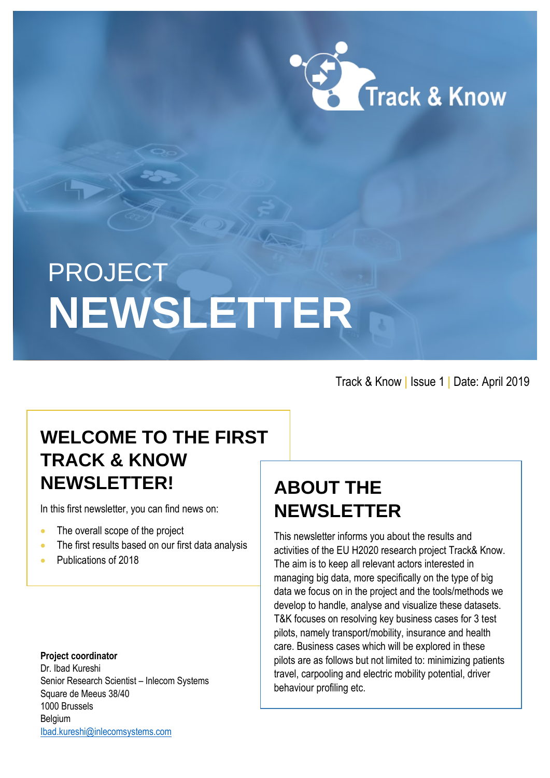

# PROJECT **NEWSLETTER**

Track & Know **|** Issue 1 **|** Date: April 2019

# **WELCOME TO THE FIRST TRACK & KNOW NEWSLETTER!**

In this first newsletter, you can find news on:

- The overall scope of the project
- The first results based on our first data analysis
- Publications of 2018

#### **Project coordinator**

Dr. Ibad Kureshi Senior Research Scientist – Inlecom Systems Square de Meeus 38/40 1000 Brussels Belgium [Ibad.kureshi@inlecomsystems.com](mailto:Ibad.kureshi@inlecomsystems.com)

## **ABOUT THE NEWSLETTER**

This newsletter informs you about the results and activities of the EU H2020 research project Track& Know. The aim is to keep all relevant actors interested in managing big data, more specifically on the type of big data we focus on in the project and the tools/methods we develop to handle, analyse and visualize these datasets. T&K focuses on resolving key business cases for 3 test pilots, namely transport/mobility, insurance and health care. Business cases which will be explored in these pilots are as follows but not limited to: minimizing patients travel, carpooling and electric mobility potential, driver behaviour profiling etc.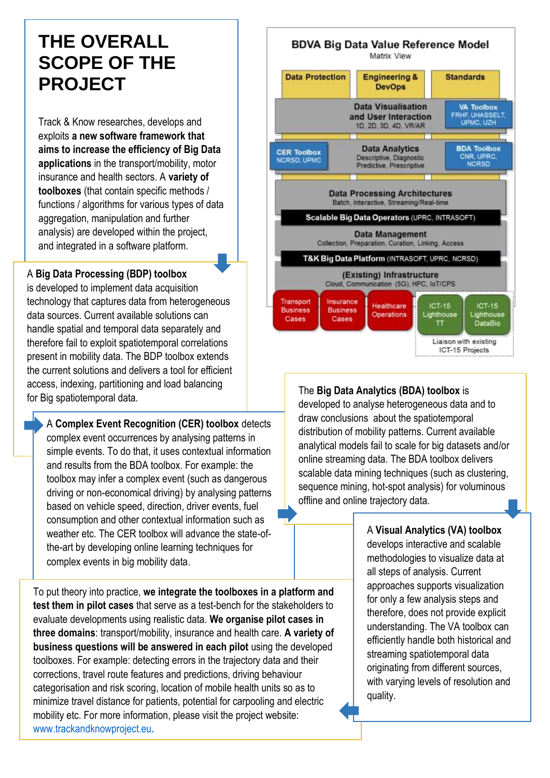## **THE OVERALL SCOPE OF THE PROJECT**

Track & Know researches, develops and exploits **a new software framework that aims to increase the efficiency of Big Data applications** in the transport/mobility, motor insurance and health sectors. A **variety of toolboxes** (that contain specific methods / functions / algorithms for various types of data aggregation, manipulation and further analysis) are developed within the project, and integrated in a software platform.

#### A **Big Data Processing (BDP) toolbox**

is developed to implement data acquisition technology that captures data from heterogeneous data sources. Current available solutions can handle spatial and temporal data separately and therefore fail to exploit spatiotemporal correlations present in mobility data. The BDP toolbox extends the current solutions and delivers a tool for efficient access, indexing, partitioning and load balancing for Big spatiotemporal data.

A **Complex Event Recognition (CER) toolbox** detects complex event occurrences by analysing patterns in simple events. To do that, it uses contextual information and results from the BDA toolbox. For example: the toolbox may infer a complex event (such as dangerous driving or non-economical driving) by analysing patterns based on vehicle speed, direction, driver events, fuel consumption and other contextual information such as weather etc. The CER toolbox will advance the state-ofthe-art by developing online learning techniques for complex events in big mobility data.

To put theory into practice, **we integrate the toolboxes in a platform and test them in pilot cases** that serve as a test-bench for the stakeholders to evaluate developments using realistic data. **We organise pilot cases in three domains**: transport/mobility, insurance and health care. **A variety of business questions will be answered in each pilot** using the developed toolboxes. For example: detecting errors in the trajectory data and their corrections, travel route features and predictions, driving behaviour categorisation and risk scoring, location of mobile health units so as to minimize travel distance for patients, potential for carpooling and electric mobility etc. For more information, please visit the project website: [www.trackandknowproject.eu.](http://www.trackandknowproject.eu/)



The **Big Data Analytics (BDA) toolbox** is developed to analyse heterogeneous data and to draw conclusions about the spatiotemporal distribution of mobility patterns. Current available analytical models fail to scale for big datasets and/or online streaming data. The BDA toolbox delivers scalable data mining techniques (such as clustering, sequence mining, hot-spot analysis) for voluminous offline and online trajectory data.

## A **Visual Analytics (VA) toolbox**

develops interactive and scalable methodologies to visualize data at all steps of analysis. Current approaches supports visualization for only a few analysis steps and therefore, does not provide explicit understanding. The VA toolbox can efficiently handle both historical and streaming spatiotemporal data originating from different sources, with varying levels of resolution and quality.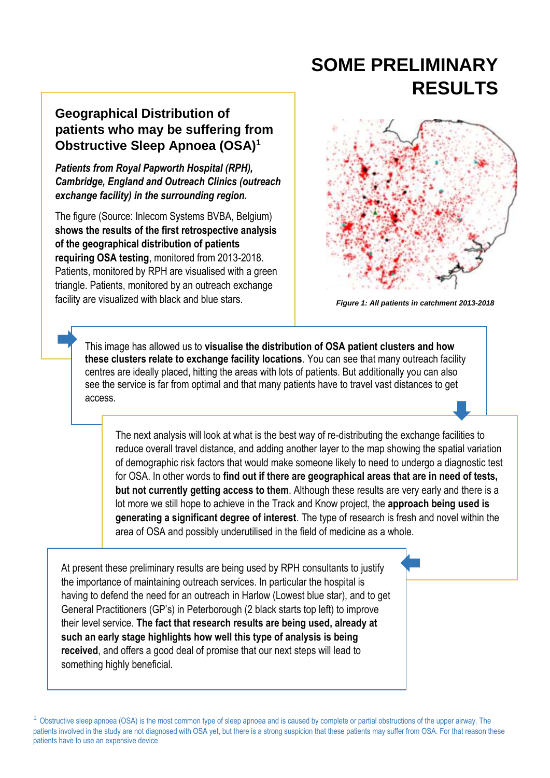## **SOME PRELIMINARY RESULTS**

## **Geographical Distribution of patients who may be suffering from Obstructive Sleep Apnoea (OSA)<sup>1</sup>**

*Patients from Royal Papworth Hospital (RPH), Cambridge, England and Outreach Clinics (outreach exchange facility) in the surrounding region.* 

The figure (Source: Inlecom Systems BVBA, Belgium) **shows the results of the first retrospective analysis of the geographical distribution of patients requiring OSA testing**, monitored from 2013-2018. Patients, monitored by RPH are visualised with a green triangle. Patients, monitored by an outreach exchange facility are visualized with black and blue stars.



*Figure 1: All patients in catchment 2013-2018*

This image has allowed us to **visualise the distribution of OSA patient clusters and how these clusters relate to exchange facility locations**. You can see that many outreach facility centres are ideally placed, hitting the areas with lots of patients. But additionally you can also see the service is far from optimal and that many patients have to travel vast distances to get access.

The next analysis will look at what is the best way of re-distributing the exchange facilities to reduce overall travel distance, and adding another layer to the map showing the spatial variation of demographic risk factors that would make someone likely to need to undergo a diagnostic test for OSA. In other words to **find out if there are geographical areas that are in need of tests, but not currently getting access to them**. Although these results are very early and there is a lot more we still hope to achieve in the Track and Know project, the **approach being used is generating a significant degree of interest**. The type of research is fresh and novel within the area of OSA and possibly underutilised in the field of medicine as a whole.

At present these preliminary results are being used by RPH consultants to justify the importance of maintaining outreach services. In particular the hospital is having to defend the need for an outreach in Harlow (Lowest blue star), and to get General Practitioners (GP's) in Peterborough (2 black starts top left) to improve their level service. **The fact that research results are being used, already at such an early stage highlights how well this type of analysis is being received**, and offers a good deal of promise that our next steps will lead to something highly beneficial.

<sup>1</sup> Obstructive sleep apnoea (OSA) is the most common type of sleep apnoea and is caused by complete or partial obstructions of the upper airway. The patients involved in the study are not diagnosed with OSA yet, but there is a strong suspicion that these patients may suffer from OSA. For that reason these patients have to use an expensive device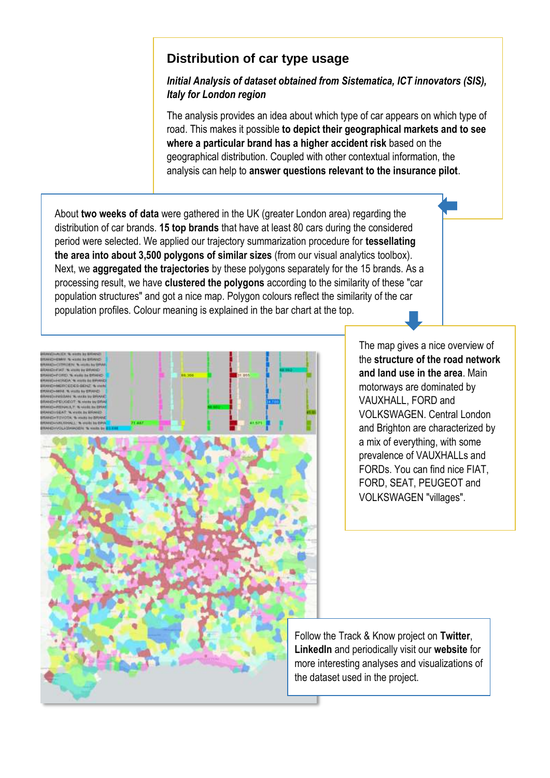### **Distribution of car type usage**

#### *Initial Analysis of dataset obtained from Sistematica, ICT innovators (SIS), Italy for London region*

The analysis provides an idea about which type of car appears on which type of road. This makes it possible **to depict their geographical markets and to see where a particular brand has a higher accident risk** based on the geographical distribution. Coupled with other contextual information, the analysis can help to **answer questions relevant to the insurance pilot**.

About **two weeks of data** were gathered in the UK (greater London area) regarding the distribution of car brands. **15 top brands** that have at least 80 cars during the considered period were selected. We applied our trajectory summarization procedure for **tessellating the area into about 3,500 polygons of similar sizes** (from our visual analytics toolbox). Next, we **aggregated the trajectories** by these polygons separately for the 15 brands. As a processing result, we have **clustered the polygons** according to the similarity of these "car population structures" and got a nice map. Polygon colours reflect the similarity of the car population profiles. Colour meaning is explained in the bar chart at the top.



The map gives a nice overview of the **structure of the road network and land use in the area**. Main motorways are dominated by VAUXHALL, FORD and VOLKSWAGEN. Central London and Brighton are characterized by a mix of everything, with some prevalence of VAUXHALLs and FORDs. You can find nice FIAT, FORD, SEAT, PEUGEOT and VOLKSWAGEN "villages".

Follow the Track & Know project on **Twitter**, **LinkedIn** and periodically visit our **website** for more interesting analyses and visualizations of the dataset used in the project.